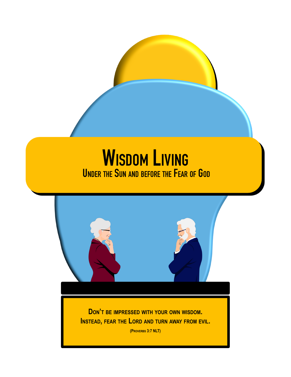# **WISDOM LIVING UNDER THE SUN AND BEFORE THE FEAR OF GOD**



**(PROVERBS 3:7 NLT)**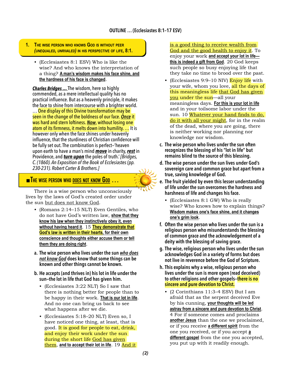- **1. THE WISE PERSON WHO KNOWS GOD IS WITHOUT PEER** *(UNEQUALED, UNRIVALED)* **IN HIS PERSPECTIVE OF LIFE, 8:1.**
	- (Ecclesiastes 8:1 ESV) Who is like the wise? And who knows the interpretation of a thing? **A man's wisdom makes his face shine, and the hardness of his face is changed**.

*Charles Bridges …* The wisdom, here so highly commended, as a mere intellectual quality has no practical influence. But as a heavenly principle, it makes the face to shine from intercourse with a brighter world. … One display of this Divine transformation may be seen in the change of the boldness of our face. *Once* it was hard and stern loftiness. *Now*, without losing one atom of its firmness, it melts down into humility. … It is however only when the face shines under heavenly influence, that the sturdiness of Christian confidence will be fully set out. The combination is perfect—'heaven upon earth to have a man's mind *move* in charity,*rest* in Providence, and *turn upon* the poles of truth.' *[Bridges, C. (1860). An Exposition of the Book of Ecclesiastes (pp. 230-231). Robert Carter & Brothers.]*

## ◼**THE WISE PERSON WHO DOES NOT KNOW GOD …**

There is a wise person who unconsciously lives by the laws of God's created order under the sun but does not know God.

- (Romans 2:14–15 NLT) Even Gentiles, who do not have God's written law, **show that they know his law when they instinctively obey it, even without having heard it**. 15 **They demonstrate that God's law is written in their hearts, for their own conscience and thoughts either accuse them or tell them they are doing right**.
- **a. The wise person who lives under the sun** *who does not know God* **does know that some things can be known and other things cannot be known.**
- **b. He accepts (and thrives in) his lot in life under the sun—the lot in life that God has given him.**
	- (Ecclesiastes 3:22 NLT) So I saw that there is nothing better for people than to be happy in their work. **That is our lot in life**. And no one can bring us back to see what happens after we die.
	- (Ecclesiastes 5:18–20 NLT) Even so, I have noticed one thing, at least, that is good. It is good for people to eat, drink, and enjoy their work under the sun during the short life God has given **them, and to accept their lot in life.** 19 And it

is a good thing to receive wealth from God and the good health to enjoy it. To enjoy your work **and accept your lot in life this is indeed a gift from God**. 20 God keeps such people so busy enjoying life that they take no time to brood over the past.

- (Ecclesiastes 9:9–10 NIV) Enjoy life with your wife, whom you love, all the days of this meaningless life that God has given you under the sun—all your meaningless days. **For this is your lot in life** and in your toilsome labor under the sun. 10 Whatever your hand finds to do, do it with all your might, for in the realm of the dead, where you are going, there is neither working nor planning nor knowledge nor wisdom.
- **c. The wise person who lives under the sun often recognizes the blessing of his "lot in life" but remains blind to the source of this blessing.**
- **d. The wise person under the sun lives under God's sovereign care and common grace but apart from a true, saving knowledge of God.**
- **e. The fruit yielded by even this lesser understanding of life under the sun overcomes the hardness and harshness of life and changes his face.**
	- (Ecclesiastes 8:1 GW) Who is really wise? Who knows how to explain things? **Wisdom makes one's face shine, and it changes one's grim look**.
- **f. Often the wise person who lives under the sun is a religious person who misunderstands the blessing of common grace and the acknowledgement of a deity with the blessing of saving grace.**
- **g. The wise, religious person who lives under the sun acknowledges God in a variety of forms but does not live in reverence before the God of Scripture.**
- **h. This explains why a wise, religious person who lives under the sun is more open (read deceived) to other religions and other gospels—there is no sincere and pure devotion to Christ.**
	- (2 Corinthians 11:3–4 ESV) But I am afraid that as the serpent deceived Eve by his cunning, **your thoughts will be led astray from a sincere and pure devotion to Christ**. 4 For if someone comes and proclaims **another Jesus** than the one we proclaimed, or if you receive **a different spirit** from the one you received, or if you accept **a different gospel** from the one you accepted, you put up with it readily enough.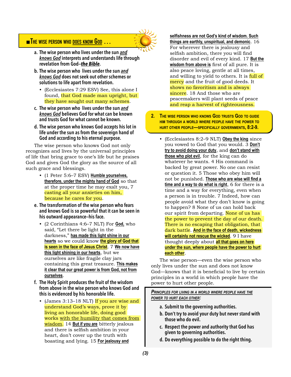## ◼**THE WISE PERSON WHO DOES KNOW GOD …**



- **a. The wise person who lives under the sun** *and knows God* **interprets and understands life through revelation from God—***the Bible***.**
- **b. The wise person who lives under the sun** *and knows God* **does not seek out other schemes or solutions to life apart from revelation.**
	- (Ecclesiastes 7:29 ESV) See, this alone I found, that God made man upright, but they have sought out many schemes.
- **c. The wise person who lives under the sun** *and knows God* **believes God for what can be known and trusts God for what cannot be known.**
- **d. The wise person who knows God accepts his lot in life under the sun as from the sovereign hand of God and according to his eternal purpose.**

The wise person who knows God not only recognizes and lives by the universal principles of life that bring grace to one's life but he praises God and gives God the glory as the source of all such grace and blessings.

- (1 Peter 5:6–7 ESV) **Humble yourselves, therefore, under the mighty hand of God** so that at the proper time he may exalt you, 7 casting all your anxieties on him, because he cares for you.
- **e. The transformation of the wise person who fears and knows God is so powerful that it can be seen in his outward appearance—his face.**
	- (2 Corinthians 4:6–7 NLT) For **God,** who said, "Let there be light in the darkness," **has made this light shine in our hearts** so we could know **the glory of God that is seen in the face of Jesus Christ**. 7 **We now have this light shining in our hearts**, but we ourselves are like fragile clay jars containing this great treasure. **This makes it clear that our great power is from God, not from ourselves**.
- **f. The Holy Spirit produces the fruit of the wisdom from above in the wise person who knows God and this is evidenced by his honorable life.**
	- (James 3:13–18 NLT) If you are wise and understand God's ways, prove it by living an honorable life, doing good works with the humility that comes from wisdom. 14 **But if you are** bitterly jealous and there is selfish ambition in your heart, don't cover up the truth with boasting and lying. 15 **For jealousy and**

**selfishness are not God's kind of wisdom. Such things are earthly, unspiritual, and demonic**. 16 For wherever there is jealousy and selfish ambition, there you will find disorder and evil of every kind. 17 **But the wisdom from above is** first of all pure. It is also peace loving, gentle at all times, and willing to yield to others. It is full of mercy and the fruit of good deeds. It shows no favoritism and is always sincere. 18 And those who are peacemakers will plant seeds of peace and reap a harvest of righteousness.

- **2. THE WISE PERSON WHO KNOWS GOD TRUSTS GOD TO GUIDE HIM THROUGH A WORLD WHERE PEOPLE HAVE THE POWER TO HURT OTHER PEOPLE—SPECIFICALLY GOVERNMENTS, 8:2-9.**
	- (Ecclesiastes 8:2–9 NLT) **Obey the king** since you vowed to God that you would. 3 **Don't try to avoid doing your duty**, and **don't stand with those who plot evil**, for the king can do whatever he wants. 4 His command is backed by great power. No one can resist or question it. 5 Those who obey him will not be punished. **Those who are wise will find a time and a way to do what is right**, 6 for there is a time and a way for everything, even when a person is in trouble. 7 Indeed, how can people avoid what they don't know is going to happen? 8 None of us can hold back our spirit from departing. None of us has the power to prevent the day of our death. There is no escaping that obligation, that dark battle. **And in the face of death, wickedness will certainly not rescue the wicked**. 9 I have thought deeply about **all that goes on here under the sun, where people have the power to hurt each other**.

The wise person—even the wise person who only lives under the sun and does not know God—knows that it is beneficial to live by certain principles in a world in which people have the power to hurt other people.

*PRINCIPLES FOR LIVING IN A WORLD WHERE PEOPLE HAVE THE POWER TO HURT EACH OTHER:*

- **a. Submit to the governing authorities.**
- **b. Don't try to avoid your duty but never stand with those who do evil.**
- **c. Respect the power and authority that God has given to governing authorities.**
- **d. Do everything possible to do the right thing.**